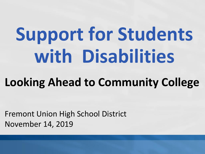# **Support for Students with Disabilities**

### **Looking Ahead to Community College**

Fremont Union High School District November 14, 2019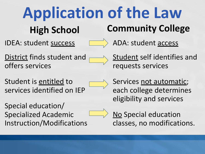### **Application of the Law High School Community College**

IDEA: student success



ADA: student access

District finds student and offers services



Student is entitled to services identified on IEP

Special education/ Specialized Academic Instruction/Modifications **Student self identifies and** requests services

Services not automatic; each college determines eligibility and services



No Special education classes, no modifications.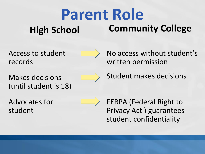#### **Parent Role High School Community College**

Access to student records



No access without student's written permission

Makes decisions (until student is 18)



Student makes decisions

Advocates for student



FERPA (Federal Right to Privacy Act ) guarantees student confidentiality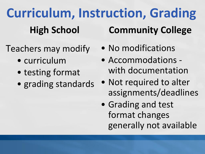**Curriculum, Instruction, Grading High School Community College**

- Teachers may modify
	- curriculum
	- testing format
	- grading standards
- No modifications
- Accommodations with documentation
- Not required to alter assignments/deadlines
- Grading and test format changes generally not available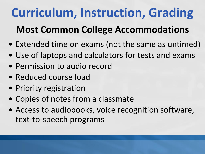## **Curriculum, Instruction, Grading**

### **Most Common College Accommodations**

- Extended time on exams (not the same as untimed)
- Use of laptops and calculators for tests and exams
- Permission to audio record
- Reduced course load
- Priority registration
- Copies of notes from a classmate
- Access to audiobooks, voice recognition software, text-to-speech programs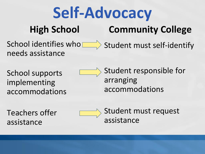#### **Self-Advocacy High School Community College**

School identifies who needs assistance  $\Rightarrow$  Student must self-identify

School supports implementing accommodations

Student responsible for arranging accommodations

Teachers offer assistance



Student must request assistance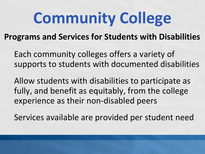## **Community College**

#### **Programs and Services for Students with Disabilities**

Each community colleges offers a variety of supports to students with documented disabilities

Allow students with disabilities to participate as fully, and benefit as equitably, from the college experience as their non-disabled peers

Services available are provided per student need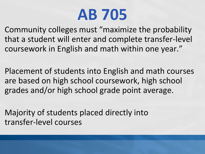## **AB 705**

Community colleges must "maximize the probability that a student will enter and complete transfer-level coursework in English and math within one year."

Placement of students into English and math courses are based on high school coursework, high school grades and/or high school grade point average.

Majority of students placed directly into transfer-level courses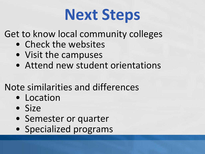## **Next Steps**

Get to know local community colleges

- Check the websites
- Visit the campuses
- Attend new student orientations

### Note similarities and differences

- Location
- Size
- Semester or quarter
- Specialized programs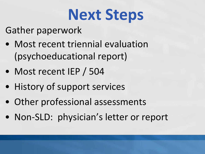## **Next Steps**

Gather paperwork

- Most recent triennial evaluation (psychoeducational report)
- Most recent IEP / 504
- History of support services
- Other professional assessments
- Non-SLD: physician's letter or report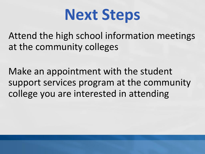

Attend the high school information meetings at the community colleges

Make an appointment with the student support services program at the community college you are interested in attending